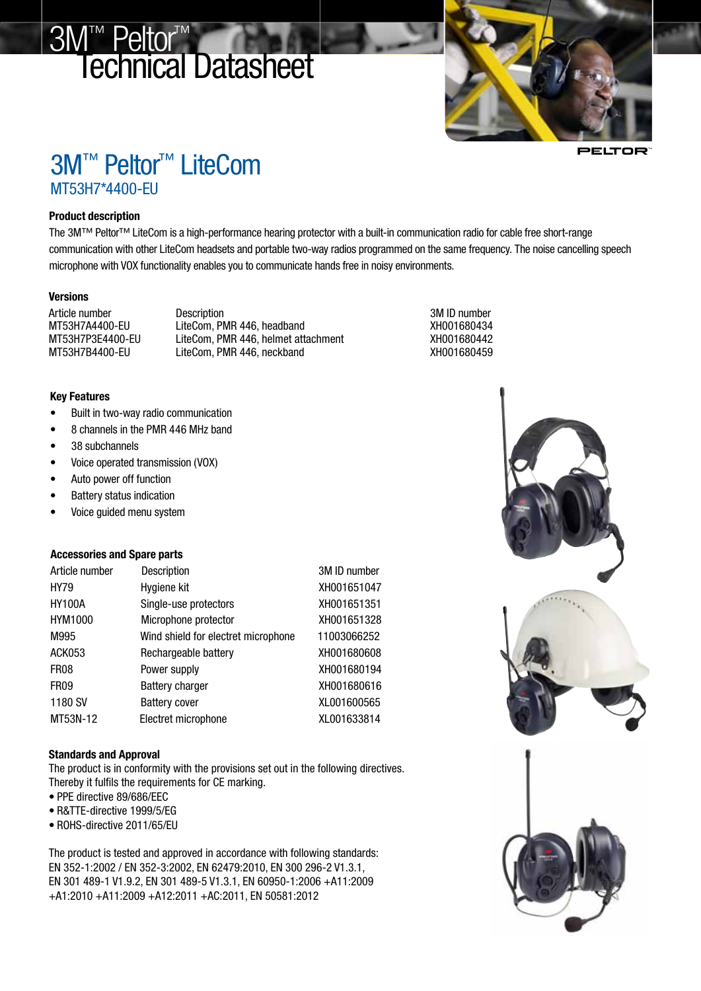# 3M™ Peltor<sup>™</sup> Technical Datasheet



E •естог

# 3M™ Peltor™ LiteCom MT53H7\*4400-EU

### Product description

The 3M™ Peltor™ LiteCom is a high-performance hearing protector with a built-in communication radio for cable free short-range communication with other LiteCom headsets and portable two-way radios programmed on the same frequency. The noise cancelling speech microphone with VOX functionality enables you to communicate hands free in noisy environments.

### **Versions**

Article number Description 3M ID number MT53H7A4400-EU LiteCom, PMR 446, headband XH001680434 MT53H7P3E4400-EU LiteCom, PMR 446, helmet attachment XH001680442 MT53H7B4400-EU LiteCom, PMR 446, neckband XH001680459

#### Key Features

- • Built in two-way radio communication
- • 8 channels in the PMR 446 MHz band
- 38 subchannels
- • Voice operated transmission (VOX)
- • Auto power off function
- • Battery status indication
- Voice quided menu system

# Accessories and Spare parts

| Article number   | Description                         | 3M ID number |
|------------------|-------------------------------------|--------------|
| <b>HY79</b>      | Hygiene kit                         | XH001651047  |
| <b>HY100A</b>    | Single-use protectors               | XH001651351  |
| HYM1000          | Microphone protector                | XH001651328  |
| M995             | Wind shield for electret microphone | 11003066252  |
| <b>ACK053</b>    | Rechargeable battery                | XH001680608  |
| FR <sub>08</sub> | Power supply                        | XH001680194  |
| FR <sub>09</sub> | <b>Battery charger</b>              | XH001680616  |
| 1180 SV          | <b>Battery cover</b>                | XL001600565  |
| MT53N-12         | Electret microphone                 | XL001633814  |

# Standards and Approval

The product is in conformity with the provisions set out in the following directives. Thereby it fulfils the requirements for CE marking.

- • PPE directive 89/686/EEC
- R&TTE-directive 1999/5/EG
- • ROHS-directive 2011/65/EU

The product is tested and approved in accordance with following standards: EN 352-1:2002 / EN 352-3:2002, EN 62479:2010, EN 300 296-2 V1.3.1, EN 301 489-1 V1.9.2, EN 301 489-5 V1.3.1, EN 60950-1:2006 +A11:2009 +A1:2010 +A11:2009 +A12:2011 +AC:2011, EN 50581:2012